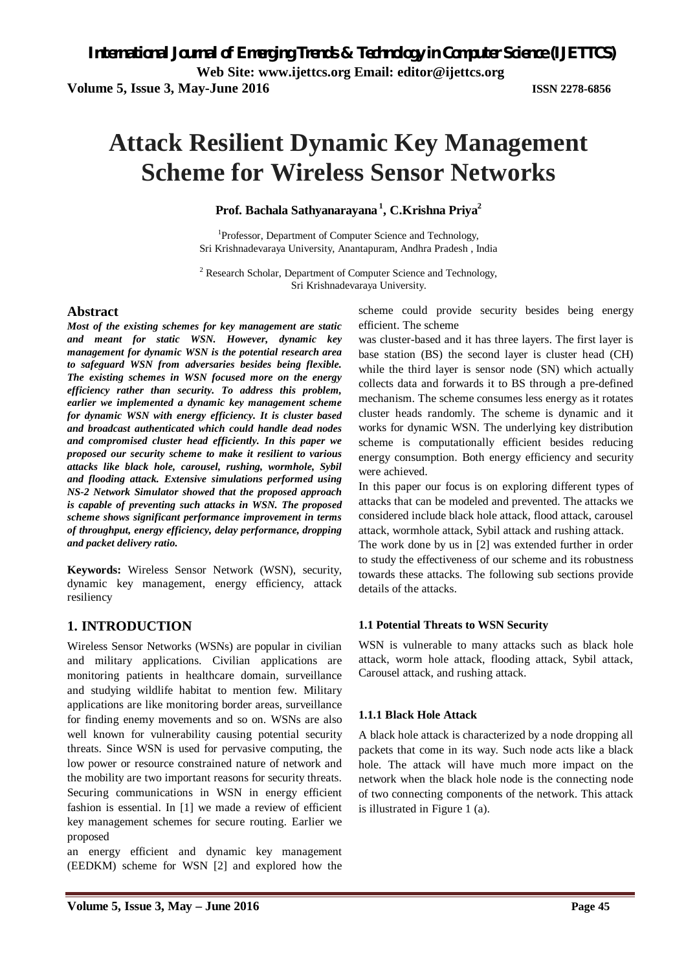**Volume 5, Issue 3, May-June 2016 ISSN 2278-6856**

# **Attack Resilient Dynamic Key Management Scheme for Wireless Sensor Networks**

**Prof. Bachala Sathyanarayana <sup>1</sup> , C.Krishna Priya<sup>2</sup>**

<sup>1</sup>Professor, Department of Computer Science and Technology, Sri Krishnadevaraya University, Anantapuram, Andhra Pradesh , India

<sup>2</sup> Research Scholar, Department of Computer Science and Technology, Sri Krishnadevaraya University.

#### **Abstract**

*Most of the existing schemes for key management are static and meant for static WSN. However, dynamic key management for dynamic WSN is the potential research area to safeguard WSN from adversaries besides being flexible. The existing schemes in WSN focused more on the energy efficiency rather than security. To address this problem, earlier we implemented a dynamic key management scheme for dynamic WSN with energy efficiency. It is cluster based and broadcast authenticated which could handle dead nodes and compromised cluster head efficiently. In this paper we proposed our security scheme to make it resilient to various attacks like black hole, carousel, rushing, wormhole, Sybil and flooding attack. Extensive simulations performed using NS-2 Network Simulator showed that the proposed approach is capable of preventing such attacks in WSN. The proposed scheme shows significant performance improvement in terms of throughput, energy efficiency, delay performance, dropping and packet delivery ratio.* 

**Keywords:** Wireless Sensor Network (WSN), security, dynamic key management, energy efficiency, attack resiliency

### **1. INTRODUCTION**

Wireless Sensor Networks (WSNs) are popular in civilian and military applications. Civilian applications are monitoring patients in healthcare domain, surveillance and studying wildlife habitat to mention few. Military applications are like monitoring border areas, surveillance for finding enemy movements and so on. WSNs are also well known for vulnerability causing potential security threats. Since WSN is used for pervasive computing, the low power or resource constrained nature of network and the mobility are two important reasons for security threats. Securing communications in WSN in energy efficient fashion is essential. In [1] we made a review of efficient key management schemes for secure routing. Earlier we proposed

an energy efficient and dynamic key management (EEDKM) scheme for WSN [2] and explored how the scheme could provide security besides being energy efficient. The scheme

was cluster-based and it has three layers. The first layer is base station (BS) the second layer is cluster head (CH) while the third layer is sensor node (SN) which actually collects data and forwards it to BS through a pre-defined mechanism. The scheme consumes less energy as it rotates cluster heads randomly. The scheme is dynamic and it works for dynamic WSN. The underlying key distribution scheme is computationally efficient besides reducing energy consumption. Both energy efficiency and security were achieved.

In this paper our focus is on exploring different types of attacks that can be modeled and prevented. The attacks we considered include black hole attack, flood attack, carousel attack, wormhole attack, Sybil attack and rushing attack.

The work done by us in [2] was extended further in order to study the effectiveness of our scheme and its robustness towards these attacks. The following sub sections provide details of the attacks.

#### **1.1 Potential Threats to WSN Security**

WSN is vulnerable to many attacks such as black hole attack, worm hole attack, flooding attack, Sybil attack, Carousel attack, and rushing attack.

#### **1.1.1 Black Hole Attack**

A black hole attack is characterized by a node dropping all packets that come in its way. Such node acts like a black hole. The attack will have much more impact on the network when the black hole node is the connecting node of two connecting components of the network. This attack is illustrated in Figure 1 (a).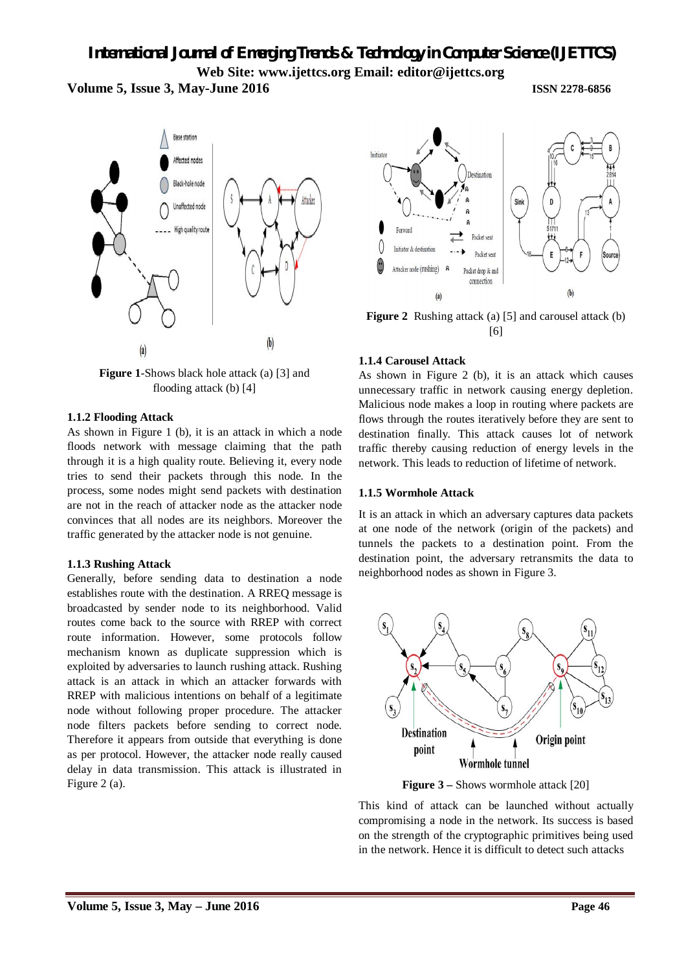



**Figure 1**-Shows black hole attack (a) [3] and flooding attack (b) [4]

#### **1.1.2 Flooding Attack**

As shown in Figure 1 (b), it is an attack in which a node floods network with message claiming that the path through it is a high quality route. Believing it, every node tries to send their packets through this node. In the process, some nodes might send packets with destination are not in the reach of attacker node as the attacker node convinces that all nodes are its neighbors. Moreover the traffic generated by the attacker node is not genuine.

#### **1.1.3 Rushing Attack**

Generally, before sending data to destination a node establishes route with the destination. A RREQ message is broadcasted by sender node to its neighborhood. Valid routes come back to the source with RREP with correct route information. However, some protocols follow mechanism known as duplicate suppression which is exploited by adversaries to launch rushing attack. Rushing attack is an attack in which an attacker forwards with RREP with malicious intentions on behalf of a legitimate node without following proper procedure. The attacker node filters packets before sending to correct node. Therefore it appears from outside that everything is done as per protocol. However, the attacker node really caused delay in data transmission. This attack is illustrated in Figure 2 (a).



**Figure 2** Rushing attack (a) [5] and carousel attack (b) [6]

#### **1.1.4 Carousel Attack**

As shown in Figure 2 (b), it is an attack which causes unnecessary traffic in network causing energy depletion. Malicious node makes a loop in routing where packets are flows through the routes iteratively before they are sent to destination finally. This attack causes lot of network traffic thereby causing reduction of energy levels in the network. This leads to reduction of lifetime of network.

#### **1.1.5 Wormhole Attack**

It is an attack in which an adversary captures data packets at one node of the network (origin of the packets) and tunnels the packets to a destination point. From the destination point, the adversary retransmits the data to neighborhood nodes as shown in Figure 3.



**Figure 3** – Shows wormhole attack [20]

This kind of attack can be launched without actually compromising a node in the network. Its success is based on the strength of the cryptographic primitives being used in the network. Hence it is difficult to detect such attacks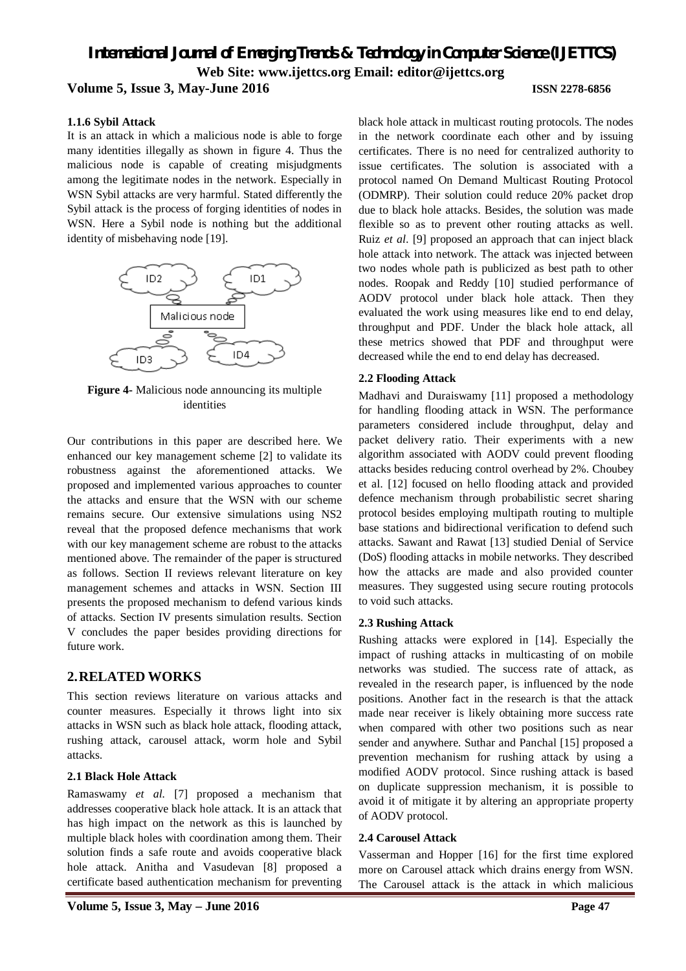#### **1.1.6 Sybil Attack**

It is an attack in which a malicious node is able to forge many identities illegally as shown in figure 4. Thus the malicious node is capable of creating misjudgments among the legitimate nodes in the network. Especially in WSN Sybil attacks are very harmful. Stated differently the Sybil attack is the process of forging identities of nodes in WSN. Here a Sybil node is nothing but the additional identity of misbehaving node [19].



**Figure 4-** Malicious node announcing its multiple identities

Our contributions in this paper are described here. We enhanced our key management scheme [2] to validate its robustness against the aforementioned attacks. We proposed and implemented various approaches to counter the attacks and ensure that the WSN with our scheme remains secure. Our extensive simulations using NS2 reveal that the proposed defence mechanisms that work with our key management scheme are robust to the attacks mentioned above. The remainder of the paper is structured as follows. Section II reviews relevant literature on key management schemes and attacks in WSN. Section III presents the proposed mechanism to defend various kinds of attacks. Section IV presents simulation results. Section V concludes the paper besides providing directions for future work.

#### **2.RELATED WORKS**

This section reviews literature on various attacks and counter measures. Especially it throws light into six attacks in WSN such as black hole attack, flooding attack, rushing attack, carousel attack, worm hole and Sybil attacks.

#### **2.1 Black Hole Attack**

Ramaswamy *et al.* [7] proposed a mechanism that addresses cooperative black hole attack. It is an attack that has high impact on the network as this is launched by multiple black holes with coordination among them. Their solution finds a safe route and avoids cooperative black hole attack. Anitha and Vasudevan [8] proposed a certificate based authentication mechanism for preventing

black hole attack in multicast routing protocols. The nodes in the network coordinate each other and by issuing certificates. There is no need for centralized authority to issue certificates. The solution is associated with a protocol named On Demand Multicast Routing Protocol (ODMRP). Their solution could reduce 20% packet drop due to black hole attacks. Besides, the solution was made flexible so as to prevent other routing attacks as well. Ruiz *et al*. [9] proposed an approach that can inject black hole attack into network. The attack was injected between two nodes whole path is publicized as best path to other nodes. Roopak and Reddy [10] studied performance of AODV protocol under black hole attack. Then they evaluated the work using measures like end to end delay, throughput and PDF. Under the black hole attack, all these metrics showed that PDF and throughput were decreased while the end to end delay has decreased.

#### **2.2 Flooding Attack**

Madhavi and Duraiswamy [11] proposed a methodology for handling flooding attack in WSN. The performance parameters considered include throughput, delay and packet delivery ratio. Their experiments with a new algorithm associated with AODV could prevent flooding attacks besides reducing control overhead by 2%. Choubey et al. [12] focused on hello flooding attack and provided defence mechanism through probabilistic secret sharing protocol besides employing multipath routing to multiple base stations and bidirectional verification to defend such attacks. Sawant and Rawat [13] studied Denial of Service (DoS) flooding attacks in mobile networks. They described how the attacks are made and also provided counter measures. They suggested using secure routing protocols to void such attacks.

#### **2.3 Rushing Attack**

Rushing attacks were explored in [14]. Especially the impact of rushing attacks in multicasting of on mobile networks was studied. The success rate of attack, as revealed in the research paper, is influenced by the node positions. Another fact in the research is that the attack made near receiver is likely obtaining more success rate when compared with other two positions such as near sender and anywhere. Suthar and Panchal [15] proposed a prevention mechanism for rushing attack by using a modified AODV protocol. Since rushing attack is based on duplicate suppression mechanism, it is possible to avoid it of mitigate it by altering an appropriate property of AODV protocol.

#### **2.4 Carousel Attack**

Vasserman and Hopper [16] for the first time explored more on Carousel attack which drains energy from WSN. The Carousel attack is the attack in which malicious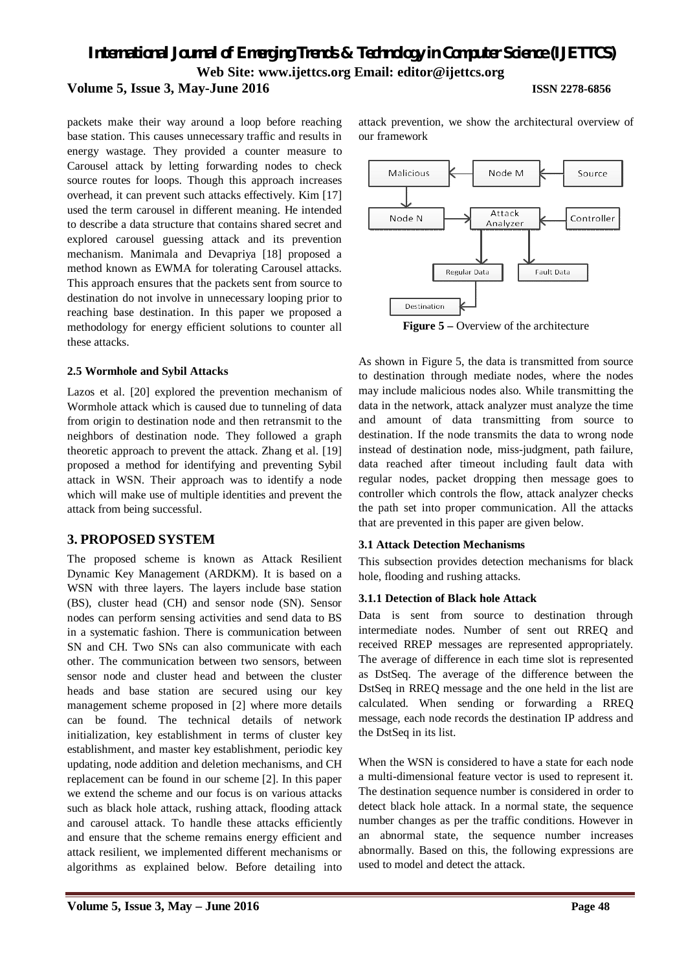our framework

packets make their way around a loop before reaching base station. This causes unnecessary traffic and results in energy wastage. They provided a counter measure to Carousel attack by letting forwarding nodes to check source routes for loops. Though this approach increases overhead, it can prevent such attacks effectively. Kim [17] used the term carousel in different meaning. He intended to describe a data structure that contains shared secret and explored carousel guessing attack and its prevention mechanism. Manimala and Devapriya [18] proposed a method known as EWMA for tolerating Carousel attacks. This approach ensures that the packets sent from source to destination do not involve in unnecessary looping prior to reaching base destination. In this paper we proposed a methodology for energy efficient solutions to counter all these attacks.

#### **2.5 Wormhole and Sybil Attacks**

Lazos et al. [20] explored the prevention mechanism of Wormhole attack which is caused due to tunneling of data from origin to destination node and then retransmit to the neighbors of destination node. They followed a graph theoretic approach to prevent the attack. Zhang et al. [19] proposed a method for identifying and preventing Sybil attack in WSN. Their approach was to identify a node which will make use of multiple identities and prevent the attack from being successful.

### **3. PROPOSED SYSTEM**

The proposed scheme is known as Attack Resilient Dynamic Key Management (ARDKM). It is based on a WSN with three layers. The layers include base station (BS), cluster head (CH) and sensor node (SN). Sensor nodes can perform sensing activities and send data to BS in a systematic fashion. There is communication between SN and CH. Two SNs can also communicate with each other. The communication between two sensors, between sensor node and cluster head and between the cluster heads and base station are secured using our key management scheme proposed in [2] where more details can be found. The technical details of network initialization, key establishment in terms of cluster key establishment, and master key establishment, periodic key updating, node addition and deletion mechanisms, and CH replacement can be found in our scheme [2]. In this paper we extend the scheme and our focus is on various attacks such as black hole attack, rushing attack, flooding attack and carousel attack. To handle these attacks efficiently and ensure that the scheme remains energy efficient and attack resilient, we implemented different mechanisms or algorithms as explained below. Before detailing into



attack prevention, we show the architectural overview of

As shown in Figure 5, the data is transmitted from source to destination through mediate nodes, where the nodes may include malicious nodes also. While transmitting the data in the network, attack analyzer must analyze the time and amount of data transmitting from source to destination. If the node transmits the data to wrong node instead of destination node, miss-judgment, path failure, data reached after timeout including fault data with regular nodes, packet dropping then message goes to controller which controls the flow, attack analyzer checks the path set into proper communication. All the attacks that are prevented in this paper are given below.

#### **3.1 Attack Detection Mechanisms**

This subsection provides detection mechanisms for black hole, flooding and rushing attacks.

#### **3.1.1 Detection of Black hole Attack**

Data is sent from source to destination through intermediate nodes. Number of sent out RREQ and received RREP messages are represented appropriately. The average of difference in each time slot is represented as DstSeq. The average of the difference between the DstSeq in RREQ message and the one held in the list are calculated. When sending or forwarding a RREQ message, each node records the destination IP address and the DstSeq in its list.

When the WSN is considered to have a state for each node a multi-dimensional feature vector is used to represent it. The destination sequence number is considered in order to detect black hole attack. In a normal state, the sequence number changes as per the traffic conditions. However in an abnormal state, the sequence number increases abnormally. Based on this, the following expressions are used to model and detect the attack.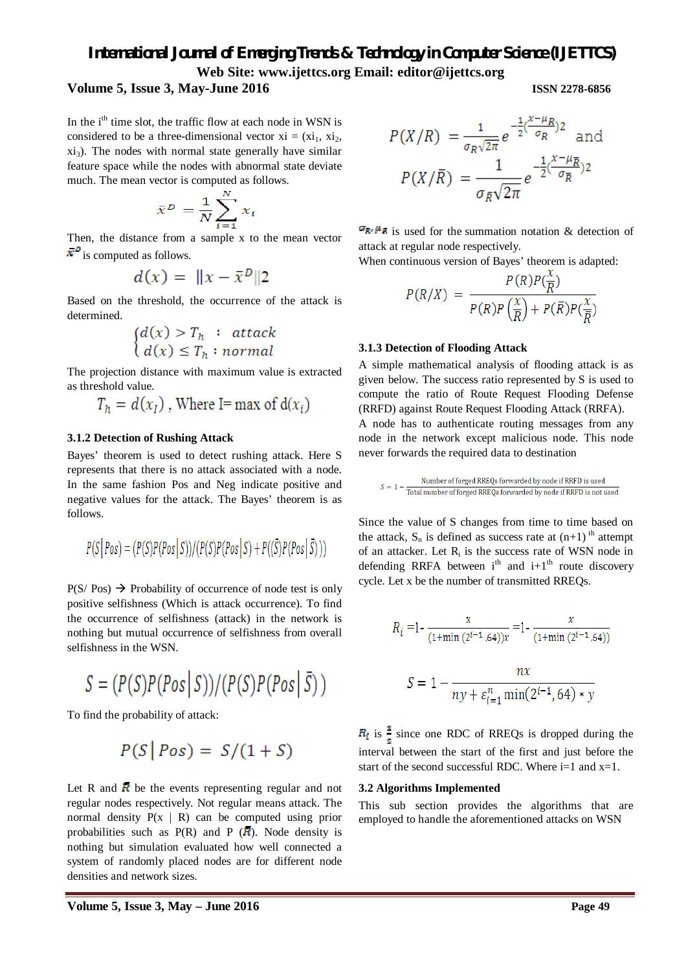#### **Volume 5, Issue 3, May-June 2016 ISSN 2278-6856**

In the i<sup>th</sup> time slot, the traffic flow at each node in WSN is considered to be a three-dimensional vector  $xi = (xi_1, x_i_2, ...)$  $xi_3$ ). The nodes with normal state generally have similar feature space while the nodes with abnormal state deviate much. The mean vector is computed as follows.

$$
\bar{x}^D = \frac{1}{N} \sum_{i=1}^N x_i
$$

Then, the distance from a sample x to the mean vector  $\vec{v}^{\,D}$  is computed as follows.

$$
d(x) = ||x - \bar{x}^D||2
$$

Based on the threshold, the occurrence of the attack is determined.

$$
\begin{cases} d(x) > T_h : \text{ attack} \\ d(x) \le T_h : \text{normal} \end{cases}
$$

The projection distance with maximum value is extracted as threshold value.

$$
T_h = d(x_I)
$$
, Where I= max of  $d(x_i)$ 

#### **3.1.2 Detection of Rushing Attack**

Bayes' theorem is used to detect rushing attack. Here S represents that there is no attack associated with a node. In the same fashion Pos and Neg indicate positive and negative values for the attack. The Bayes' theorem is as follows.

$$
P(S | Pos) = (P(S)P(Pos | S))/(P(S)P(Pos | S) + P((\overline{S})P(Pos | \overline{S})))
$$

 $P(S / Pos) \rightarrow$  Probability of occurrence of node test is only positive selfishness (Which is attack occurrence). To find the occurrence of selfishness (attack) in the network is nothing but mutual occurrence of selfishness from overall selfishness in the WSN.

$$
S = (P(S)P(Pos | S))/(P(S)P(Pos | \bar{S}))
$$

To find the probability of attack:

$$
P(S \,|\, Pos) = S/(1+S)
$$

Let R and  $\overline{R}$  be the events representing regular and not regular nodes respectively. Not regular means attack. The normal density  $P(x \mid R)$  can be computed using prior probabilities such as  $P(R)$  and P ( $\overline{R}$ ). Node density is nothing but simulation evaluated how well connected a system of randomly placed nodes are for different node densities and network sizes.

$$
P(X/R) = \frac{1}{\sigma_R \sqrt{2\pi}} e^{-\frac{1}{2} (\frac{x - \mu_R}{\sigma_R})^2}
$$
 and  

$$
P(X/\overline{R}) = \frac{1}{\sigma_{\overline{R}} \sqrt{2\pi}} e^{-\frac{1}{2} (\frac{x - \mu_{\overline{R}}}{\sigma_{\overline{R}}})^2}
$$

 $\mathbb{G}_{\mathbb{R}^n}$  is used for the summation notation & detection of attack at regular node respectively.

When continuous version of Bayes' theorem is adapted:

$$
P(R/X) = \frac{P(R)P(\frac{x}{R})}{P(R)P(\frac{x}{R}) + P(\bar{R})P(\frac{x}{R})}
$$

#### **3.1.3 Detection of Flooding Attack**

A simple mathematical analysis of flooding attack is as given below. The success ratio represented by S is used to compute the ratio of Route Request Flooding Defense (RRFD) against Route Request Flooding Attack (RRFA). A node has to authenticate routing messages from any

node in the network except malicious node. This node never forwards the required data to destination

$$
S = 1 - \frac{Number of forged RREQs forwarded by node if RRFD is used}{Total number of forged RREQs forwarded by node if RRFD is not used.}
$$

Since the value of S changes from time to time based on the attack,  $S_n$  is defined as success rate at  $(n+1)$ <sup>th</sup> attempt of an attacker. Let  $R_i$  is the success rate of WSN node in defending RRFA between  $i<sup>th</sup>$  and  $i+1<sup>th</sup>$  route discovery cycle. Let x be the number of transmitted RREQs.

$$
R_i = 1 - \frac{x}{(1 + \min(2^{i-1}, 64))x} = 1 - \frac{x}{(1 + \min(2^{i-1}, 64))}
$$

$$
S = 1 - \frac{nx}{ny + \varepsilon_{i=1}^n \min(2^{i-1}, 64) * y}
$$

 $R_i$  is  $\frac{1}{2}$  since one RDC of RREQs is dropped during the interval between the start of the first and just before the start of the second successful RDC. Where  $i=1$  and  $x=1$ .

#### **3.2 Algorithms Implemented**

This sub section provides the algorithms that are employed to handle the aforementioned attacks on WSN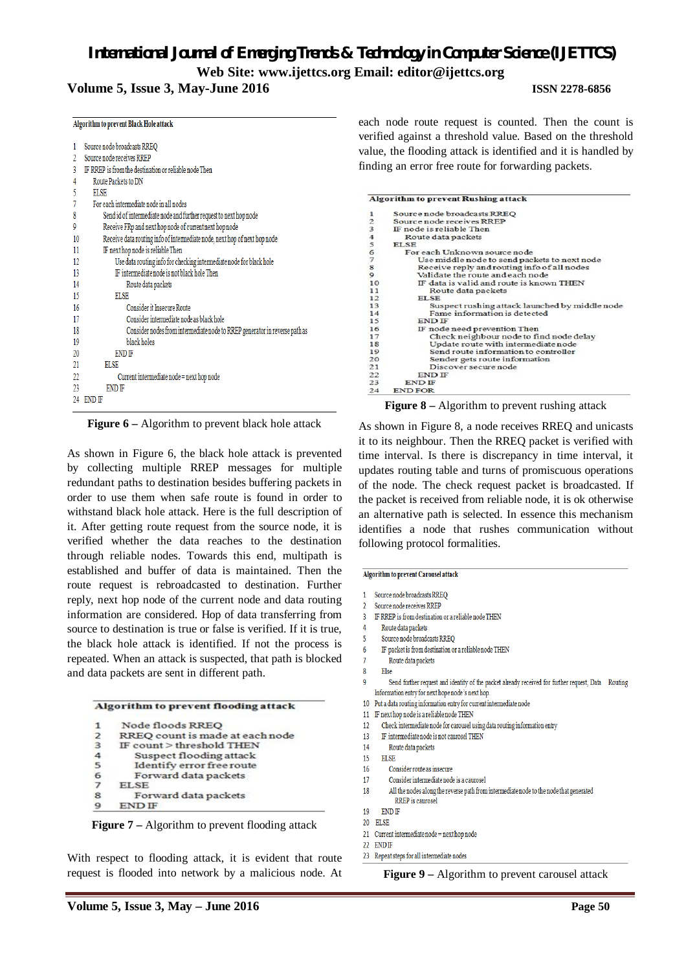### **Volume 5, Issue 3, May-June 2016 ISSN 2278-6856**

|    | Algorithm to prevent Black Hole attack                                     |
|----|----------------------------------------------------------------------------|
| 1  | Source node broadcasts RREQ                                                |
| 2  | Source node receives RREP                                                  |
| 3  | IF RREP is from the destination or reliable node Then                      |
| 4  | Route Packets to DN                                                        |
| 5  | <b>ELSE</b>                                                                |
| 7  | For each intermediate node in all nodes                                    |
| 8  | Send id of intermediate node and further request to next hop node          |
| 9  | Receive FRp and next hop node of current next hop node                     |
| 10 | Receive data routing info of intermediate node, next hop of next hop node  |
| 11 | IF next hop node is reliable Then                                          |
| 12 | Use data routing info for checking intermediate node for black hole        |
| 13 | IF intermediate node is not black hole Then                                |
| 14 | Route data packets                                                         |
| 15 | ELSE                                                                       |
| 16 | Consider it Insecure Route                                                 |
| 17 | Consider intermediate node as black hole                                   |
| 18 | Consider nodes from intermediate node to RREP generator in reverse path as |
| 19 | black holes                                                                |
| 20 | <b>END IF</b>                                                              |
| 21 | <b>ELSE</b>                                                                |
| 22 | Current intermediate node = next hop node                                  |
| 23 | <b>END IF</b>                                                              |
| 24 | <b>END IF</b>                                                              |
|    |                                                                            |

**Figure 6** – Algorithm to prevent black hole attack

As shown in Figure 6, the black hole attack is prevented by collecting multiple RREP messages for multiple redundant paths to destination besides buffering packets in order to use them when safe route is found in order to withstand black hole attack. Here is the full description of it. After getting route request from the source node, it is verified whether the data reaches to the destination through reliable nodes. Towards this end, multipath is established and buffer of data is maintained. Then the route request is rebroadcasted to destination. Further reply, next hop node of the current node and data routing information are considered. Hop of data transferring from source to destination is true or false is verified. If it is true, the black hole attack is identified. If not the process is repeated. When an attack is suspected, that path is blocked and data packets are sent in different path.

#### Algorithm to prevent flooding attack

| $\mathbf{1}$            | Node floods RREO                |
|-------------------------|---------------------------------|
| $\overline{\mathbf{z}}$ | RREO count is made at each node |
| 3                       | IF count > threshold THEN       |
| $\overline{4}$          | Suspect flooding attack         |
| 5                       | Identify error free route       |
| 6                       | Forward data packets            |
| $\overline{7}$          | <b>ELSE</b>                     |
| 8                       | Forward data packets            |
|                         | <b>END IF</b>                   |

**Figure 7** – Algorithm to prevent flooding attack

With respect to flooding attack, it is evident that route request is flooded into network by a malicious node. At each node route request is counted. Then the count is verified against a threshold value. Based on the threshold value, the flooding attack is identified and it is handled by finding an error free route for forwarding packets.

|                | <b>Algorithm to prevent Rushing attack</b>     |
|----------------|------------------------------------------------|
| 1              | Source node broadcasts RREO                    |
| $\overline{2}$ | Source node receives RREP                      |
| 3              | IF node is reliable Then                       |
| $\frac{4}{5}$  | Route data packets                             |
|                | <b>ELSE</b>                                    |
| 6              | For each Unknown source node                   |
| $\tau$         | Use middle node to send packets to next node   |
| $\bf8$         | Receive reply and routing info of all nodes    |
| $\overline{9}$ | Validate the route and each node               |
| 10             | IF data is valid and route is known THEN       |
| 11             | Route data packets                             |
| 12             | <b>ELSE</b>                                    |
| 13             | Suspect rushing attack launched by middle node |
| 14             | Fame information is detected                   |
| 15             | <b>END IF</b>                                  |
| 16             | IF node need prevention Then                   |
| 17             | Check neighbour node to find node delay        |

| <b>IT STORY TERMS DIARRAMENTE TERMS</b> |
|-----------------------------------------|
| Check neighbour node to find node delay |
| Update route with intermediate node     |
| Send route information to controller    |
| Sender gets route information           |
| Discover secure node                    |
| <b>END IF</b>                           |
| END IF                                  |
| <b>END FOR</b>                          |

**Figure 8 –** Algorithm to prevent rushing attack

As shown in Figure 8, a node receives RREQ and unicasts it to its neighbour. Then the RREQ packet is verified with time interval. Is there is discrepancy in time interval, it updates routing table and turns of promiscuous operations of the node. The check request packet is broadcasted. If the packet is received from reliable node, it is ok otherwise an alternative path is selected. In essence this mechanism identifies a node that rushes communication without following protocol formalities.

#### **Algorithm to prevent Carousel attack**

| 1 |  | Source node broadcasts RREC |
|---|--|-----------------------------|
|   |  |                             |

- Source node receives RREP  $\overline{2}$ IF RREP is from destination or a reliable node THEN
- $\overline{3}$
- $\overline{4}$ Route data packets  $\overline{5}$ 
	- Source node broadcasts RREQ
	- IF packet is from destination or a reliable node THEN Route data packets
- Else

6

18<br>19<br>20<br>21<br>22<br>23

 $\overline{24}$ 

- Send further request and identity of the packet already received for further request, Data Routing q Information entry for next hope node's next hop.
- 10 Put a data routing information entry for current intermediate node
- 11 IF next hop node is a reliable node THEN
- $12$ Check intermediate node for carousel using data routing information entry
- 13 IF intermediate node is not caurosel THEN
	- Route data packets
- 14 15 **ELSE**
- 16
- Consider route as insecure  $17$
- Consider intermediate node is a caurosel
- 18 All the nodes along the reverse path from intermediate node to the node that generated RREP is caurosel
- 19 **END IF**
- 20 ELSE
- 21 Current intermediate node = next hop node
- 22 END IF
- 23 Repeat steps for all intermediate nodes

**Figure 9 –** Algorithm to prevent carousel attack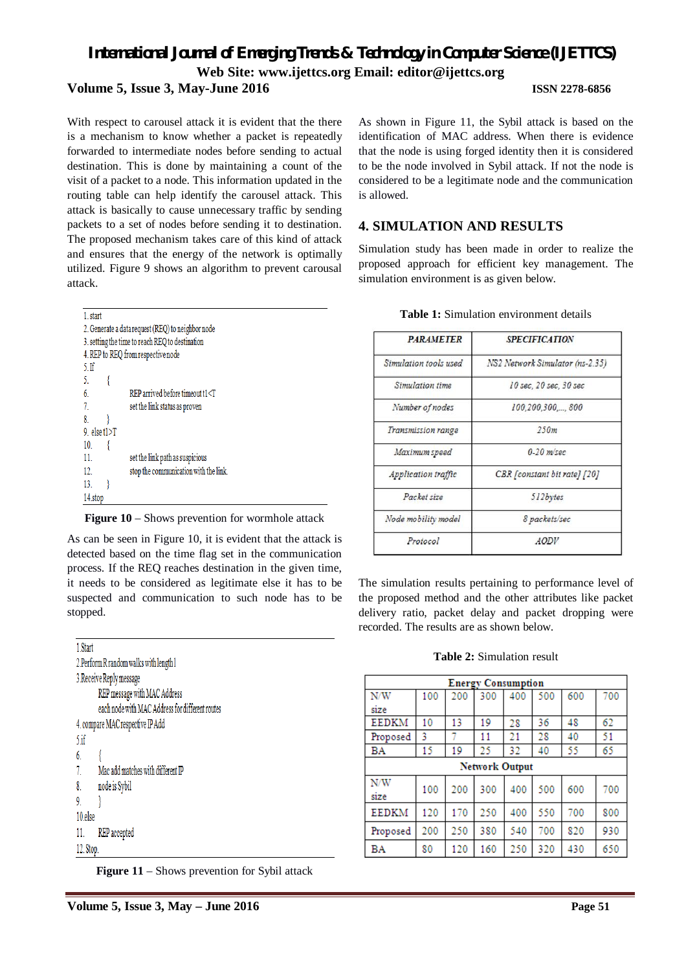With respect to carousel attack it is evident that the there is a mechanism to know whether a packet is repeatedly forwarded to intermediate nodes before sending to actual destination. This is done by maintaining a count of the visit of a packet to a node. This information updated in the routing table can help identify the carousel attack. This attack is basically to cause unnecessary traffic by sending packets to a set of nodes before sending it to destination. The proposed mechanism takes care of this kind of attack and ensures that the energy of the network is optimally utilized. Figure 9 shows an algorithm to prevent carousal attack.

| 1. start         |                                                   |
|------------------|---------------------------------------------------|
|                  | 2. Generate a data request (REQ) to neighbor node |
|                  | 3. setting the time to reach REQ to destination   |
|                  | 4. REP to REQ from respective node                |
| 5 <sub>if</sub>  |                                                   |
| 5.               |                                                   |
| 6.               | $REP$ arrived before timeout $t1 < T$             |
| 7.               | set the link status as proven                     |
| 8.               |                                                   |
| 9. else $t1 > T$ |                                                   |
| 10.              |                                                   |
| 11.              | set the link path as suspicious                   |
| 12.              | stop the communication with the link.             |
| 13.              |                                                   |
| 14.stop          |                                                   |

**Figure 10** – Shows prevention for wormhole attack

As can be seen in Figure 10, it is evident that the attack is detected based on the time flag set in the communication process. If the REQ reaches destination in the given time, it needs to be considered as legitimate else it has to be suspected and communication to such node has to be stopped.

| 1. Start  |                                                 |  |
|-----------|-------------------------------------------------|--|
|           | 2. Perform R random walks with length l         |  |
|           | 3. Receive Reply message                        |  |
|           | REP message with MAC Address                    |  |
|           | each node with MAC Address for different routes |  |
|           | 4. compare MAC respective IP Add                |  |
| $5.$ if   |                                                 |  |
| 6.        |                                                 |  |
| 7.        | Mac add matches with different IP               |  |
| 8.        | node is Sybil                                   |  |
| 9.        |                                                 |  |
| 10.else   |                                                 |  |
| 11.       | REP accepted                                    |  |
| 12. Stop. |                                                 |  |

**Figure 11** – Shows prevention for Sybil attack

As shown in Figure 11, the Sybil attack is based on the identification of MAC address. When there is evidence that the node is using forged identity then it is considered to be the node involved in Sybil attack. If not the node is considered to be a legitimate node and the communication is allowed.

## **4. SIMULATION AND RESULTS**

Simulation study has been made in order to realize the proposed approach for efficient key management. The simulation environment is as given below.

| <b>PARAMETER</b>          | <b>SPECIFICATION</b>            |  |  |  |  |
|---------------------------|---------------------------------|--|--|--|--|
| Simulation tools used     | NS2 Network Simulator (ns-2.35) |  |  |  |  |
| Simulation time           | 10 sec. 20 sec. 30 sec          |  |  |  |  |
| Number of nodes           | 100,200,300,,800                |  |  |  |  |
| <b>Transmission range</b> | 250m                            |  |  |  |  |
| Maximum speed             | $0-20$ $m/sec$                  |  |  |  |  |
| Application traffic       | CBR [constant bit rate] [20]    |  |  |  |  |
| Packet size               | 512bytes                        |  |  |  |  |
| Node mobility model       | 8 packets/sec                   |  |  |  |  |
| Protocol                  | <b>AODV</b>                     |  |  |  |  |

**Table 1:** Simulation environment details

The simulation results pertaining to performance level of the proposed method and the other attributes like packet delivery ratio, packet delay and packet dropping were recorded. The results are as shown below.

**Table 2:** Simulation result

| <b>Energy Consumption</b> |     |     |                       |     |     |     |     |
|---------------------------|-----|-----|-----------------------|-----|-----|-----|-----|
| N/W                       | 100 | 200 | 300                   | 400 | 500 | 600 | 700 |
| size                      |     |     |                       |     |     |     |     |
| <b>EEDKM</b>              | 10  | 13  | 19                    | 28  | 36  | 48  | 62  |
| Proposed                  | 3   |     | 11                    | 21  | 28  | 40  | 51  |
| BA                        | 15  | 19  | 25                    | 32  | 40  | 55  | 65  |
|                           |     |     | <b>Network Output</b> |     |     |     |     |
| N/W                       | 100 | 200 | 300                   | 400 | 500 | 600 | 700 |
| size                      |     |     |                       |     |     |     |     |
| <b>EEDKM</b>              | 120 | 170 | 250                   | 400 | 550 | 700 | 800 |
| Proposed                  | 200 | 250 | 380                   | 540 | 700 | 820 | 930 |
| BA                        | 80  | 120 | 160                   | 250 | 320 | 430 | 650 |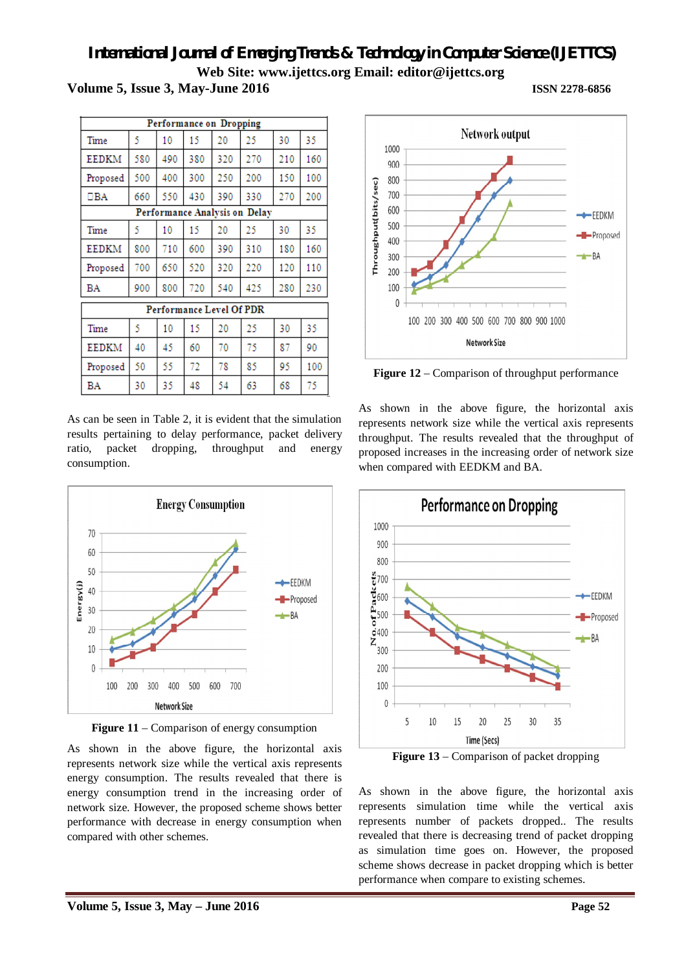**Volume 5, Issue 3, May-June 2016 ISSN 2278-6856**

| Performance on Dropping |     |     |     |                          |                               |     |     |
|-------------------------|-----|-----|-----|--------------------------|-------------------------------|-----|-----|
| Time                    | 5   | 10  | 15  | 20                       | 25                            | 30  | 35  |
| EEDKM                   | 580 | 490 | 380 | 320                      | 270                           | 210 | 160 |
| Proposed                | 500 | 400 | 300 | 250                      | 200                           | 150 | 100 |
| $\Box BA$               | 660 | 550 | 430 | 390                      | 330                           | 270 | 200 |
|                         |     |     |     |                          | Performance Analysis on Delay |     |     |
| Time                    | 5   | 10  | 15  | 20                       | 25                            | 30  | 35  |
| EEDKM                   | 800 | 710 | 600 | 390                      | 310                           | 180 | 160 |
| Proposed                | 700 | 650 | 520 | 320                      | 220                           | 120 | 110 |
| BA                      | 900 | 800 | 720 | 540                      | 425                           | 280 | 230 |
|                         |     |     |     | Performance Level Of PDR |                               |     |     |
| Time                    | 5   | 10  | 15  | 20                       | 25                            | 30  | 35  |
| <b>EEDKM</b>            | 40  | 45  | 60  | 70                       | 75                            | 87  | 90  |
| Proposed                | 50  | 55  | 72  | 78                       | 85                            | 95  | 100 |
| BA                      | 30  | 35. | 48  | 54                       | 63                            | 68  | 75  |

As can be seen in Table 2, it is evident that the simulation results pertaining to delay performance, packet delivery ratio, packet dropping, throughput and energy consumption.



**Figure 11** – Comparison of energy consumption

As shown in the above figure, the horizontal axis represents network size while the vertical axis represents energy consumption. The results revealed that there is energy consumption trend in the increasing order of network size. However, the proposed scheme shows better performance with decrease in energy consumption when compared with other schemes.



**Figure 12** – Comparison of throughput performance

As shown in the above figure, the horizontal axis represents network size while the vertical axis represents throughput. The results revealed that the throughput of proposed increases in the increasing order of network size when compared with EEDKM and BA.



**Figure 13** – Comparison of packet dropping

As shown in the above figure, the horizontal axis represents simulation time while the vertical axis represents number of packets dropped.. The results revealed that there is decreasing trend of packet dropping as simulation time goes on. However, the proposed scheme shows decrease in packet dropping which is better performance when compare to existing schemes.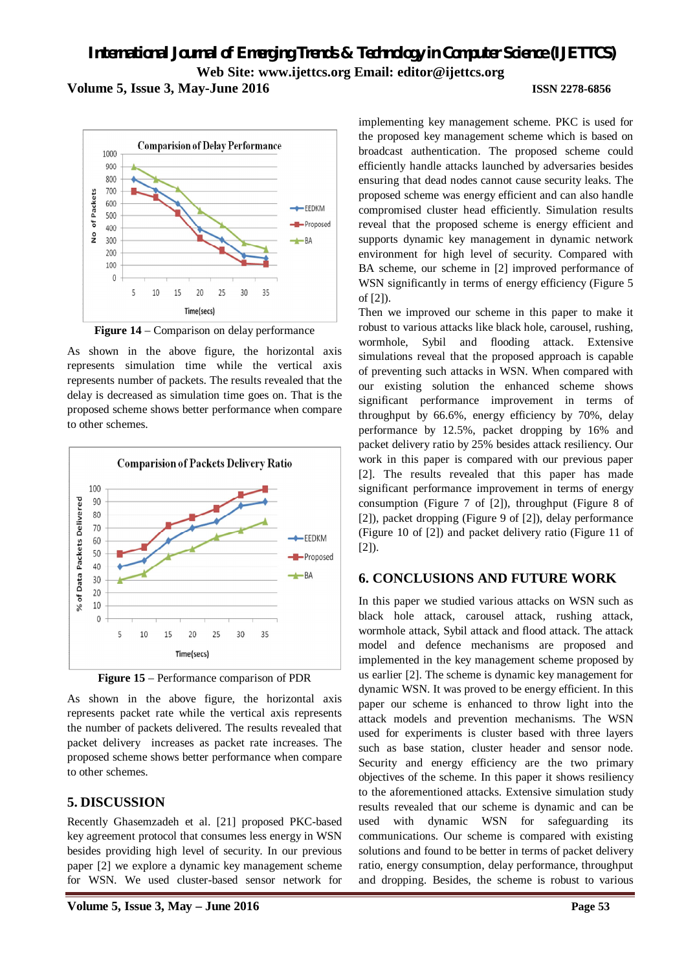**Volume 5, Issue 3, May-June 2016 ISSN 2278-6856**

#### **Comparision of Delay Performance** 1000 900 800 700 of Packets 600  $EEDKM$ 500 Proposed  $40<sup>c</sup>$  $\frac{1}{2}$ 300  $+BA$  $200$ 100  $\mathbf{0}$  $\overline{\phantom{a}}$  $10$ 15  $30^{\circ}$ 35  $20$  $25$ Time(secs)

**Figure 14** – Comparison on delay performance

As shown in the above figure, the horizontal axis represents simulation time while the vertical axis represents number of packets. The results revealed that the delay is decreased as simulation time goes on. That is the proposed scheme shows better performance when compare to other schemes.



**Figure 15** – Performance comparison of PDR

As shown in the above figure, the horizontal axis represents packet rate while the vertical axis represents the number of packets delivered. The results revealed that packet delivery increases as packet rate increases. The proposed scheme shows better performance when compare to other schemes.

## **5. DISCUSSION**

Recently Ghasemzadeh et al. [21] proposed PKC-based key agreement protocol that consumes less energy in WSN besides providing high level of security. In our previous paper [2] we explore a dynamic key management scheme for WSN. We used cluster-based sensor network for

implementing key management scheme. PKC is used for the proposed key management scheme which is based on broadcast authentication. The proposed scheme could efficiently handle attacks launched by adversaries besides ensuring that dead nodes cannot cause security leaks. The proposed scheme was energy efficient and can also handle compromised cluster head efficiently. Simulation results reveal that the proposed scheme is energy efficient and supports dynamic key management in dynamic network environment for high level of security. Compared with BA scheme, our scheme in [2] improved performance of WSN significantly in terms of energy efficiency (Figure 5 of [2]).

Then we improved our scheme in this paper to make it robust to various attacks like black hole, carousel, rushing, wormhole, Sybil and flooding attack. Extensive simulations reveal that the proposed approach is capable of preventing such attacks in WSN. When compared with our existing solution the enhanced scheme shows significant performance improvement in terms of throughput by 66.6%, energy efficiency by 70%, delay performance by 12.5%, packet dropping by 16% and packet delivery ratio by 25% besides attack resiliency. Our work in this paper is compared with our previous paper [2]. The results revealed that this paper has made significant performance improvement in terms of energy consumption (Figure 7 of [2]), throughput (Figure 8 of [2]), packet dropping (Figure 9 of [2]), delay performance (Figure 10 of [2]) and packet delivery ratio (Figure 11 of [2]).

## **6. CONCLUSIONS AND FUTURE WORK**

In this paper we studied various attacks on WSN such as black hole attack, carousel attack, rushing attack, wormhole attack, Sybil attack and flood attack. The attack model and defence mechanisms are proposed and implemented in the key management scheme proposed by us earlier [2]. The scheme is dynamic key management for dynamic WSN. It was proved to be energy efficient. In this paper our scheme is enhanced to throw light into the attack models and prevention mechanisms. The WSN used for experiments is cluster based with three layers such as base station, cluster header and sensor node. Security and energy efficiency are the two primary objectives of the scheme. In this paper it shows resiliency to the aforementioned attacks. Extensive simulation study results revealed that our scheme is dynamic and can be used with dynamic WSN for safeguarding its communications. Our scheme is compared with existing solutions and found to be better in terms of packet delivery ratio, energy consumption, delay performance, throughput and dropping. Besides, the scheme is robust to various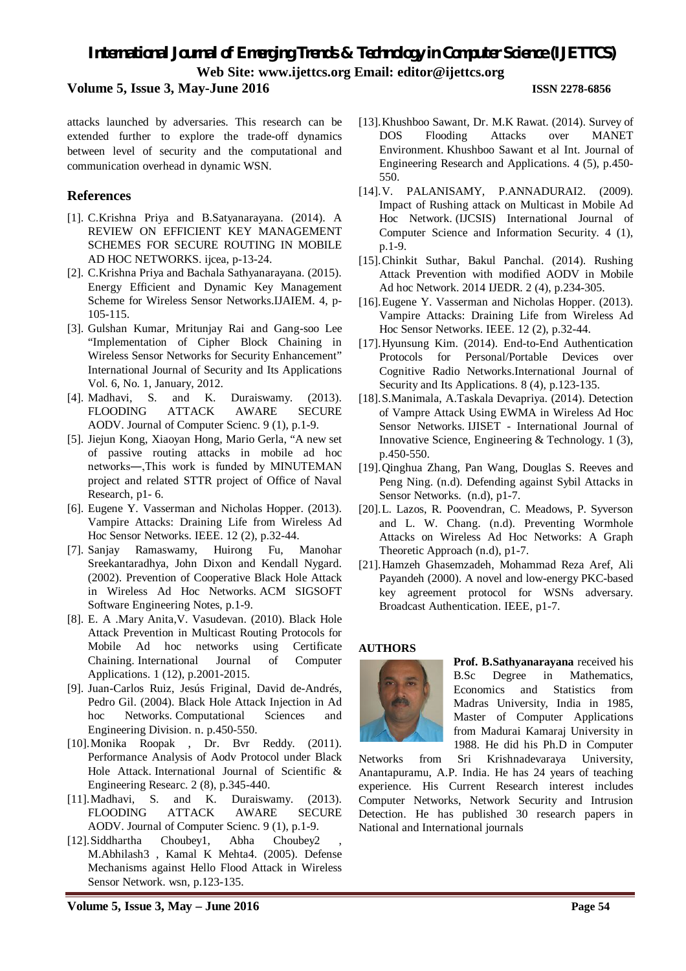### **Volume 5, Issue 3, May-June 2016 ISSN 2278-6856**

attacks launched by adversaries. This research can be extended further to explore the trade-off dynamics between level of security and the computational and communication overhead in dynamic WSN.

### **References**

- [1]. C.Krishna Priya and B.Satyanarayana. (2014). A REVIEW ON EFFICIENT KEY MANAGEMENT SCHEMES FOR SECURE ROUTING IN MOBILE AD HOC NETWORKS. ijcea, p-13-24.
- [2]. C.Krishna Priya and Bachala Sathyanarayana. (2015). Energy Efficient and Dynamic Key Management Scheme for Wireless Sensor Networks.IJAIEM. 4, p-105-115.
- [3]. Gulshan Kumar, Mritunjay Rai and Gang-soo Lee "Implementation of Cipher Block Chaining in Wireless Sensor Networks for Security Enhancement" International Journal of Security and Its Applications Vol. 6, No. 1, January, 2012.
- [4]. Madhavi, S. and K. Duraiswamy. (2013). FLOODING ATTACK AWARE SECURE AODV. Journal of Computer Scienc. 9 (1), p.1-9.
- [5]. Jiejun Kong, Xiaoyan Hong, Mario Gerla, "A new set of passive routing attacks in mobile ad hoc networks―,This work is funded by MINUTEMAN project and related STTR project of Office of Naval Research, p1- 6.
- [6]. Eugene Y. Vasserman and Nicholas Hopper. (2013). Vampire Attacks: Draining Life from Wireless Ad Hoc Sensor Networks. IEEE. 12 (2), p.32-44.
- [7]. Sanjay Ramaswamy, Huirong Fu, Manohar Sreekantaradhya, John Dixon and Kendall Nygard. (2002). Prevention of Cooperative Black Hole Attack in Wireless Ad Hoc Networks. ACM SIGSOFT Software Engineering Notes, p.1-9.
- [8]. E. A .Mary Anita,V. Vasudevan. (2010). Black Hole Attack Prevention in Multicast Routing Protocols for Mobile Ad hoc networks using Certificate Chaining. International Journal of Computer Applications. 1 (12), p.2001-2015.
- [9]. Juan-Carlos Ruiz, Jesús Friginal, David de-Andrés, Pedro Gil. (2004). Black Hole Attack Injection in Ad hoc Networks. Computational Sciences and Engineering Division. n. p.450-550.
- [10].Monika Roopak , Dr. Bvr Reddy. (2011). Performance Analysis of Aodv Protocol under Black Hole Attack. International Journal of Scientific & Engineering Researc. 2 (8), p.345-440.
- [11].Madhavi, S. and K. Duraiswamy. (2013). FLOODING ATTACK AWARE SECURE AODV. Journal of Computer Scienc. 9 (1), p.1-9.
- [12].Siddhartha Choubey1, Abha Choubey2 M.Abhilash3 , Kamal K Mehta4. (2005). Defense Mechanisms against Hello Flood Attack in Wireless Sensor Network. wsn, p.123-135.
- [13].Khushboo Sawant, Dr. M.K Rawat. (2014). Survey of DOS Flooding Attacks over MANET Environment. Khushboo Sawant et al Int. Journal of Engineering Research and Applications. 4 (5), p.450- 550.
- [14].V. PALANISAMY, P.ANNADURAI2. (2009). Impact of Rushing attack on Multicast in Mobile Ad Hoc Network. (IJCSIS) International Journal of Computer Science and Information Security. 4 (1), p.1-9.
- [15].Chinkit Suthar, Bakul Panchal. (2014). Rushing Attack Prevention with modified AODV in Mobile Ad hoc Network. 2014 IJEDR. 2 (4), p.234-305.
- [16]. Eugene Y. Vasserman and Nicholas Hopper. (2013). Vampire Attacks: Draining Life from Wireless Ad Hoc Sensor Networks. IEEE. 12 (2), p.32-44.
- [17].Hyunsung Kim. (2014). End-to-End Authentication Protocols for Personal/Portable Devices over Cognitive Radio Networks.International Journal of Security and Its Applications. 8 (4), p.123-135.
- [18].S.Manimala, A.Taskala Devapriya. (2014). Detection of Vampre Attack Using EWMA in Wireless Ad Hoc Sensor Networks. IJISET - International Journal of Innovative Science, Engineering & Technology. 1 (3), p.450-550.
- [19].Qinghua Zhang, Pan Wang, Douglas S. Reeves and Peng Ning. (n.d). Defending against Sybil Attacks in Sensor Networks. (n.d), p1-7.
- [20].L. Lazos, R. Poovendran, C. Meadows, P. Syverson and L. W. Chang. (n.d). Preventing Wormhole Attacks on Wireless Ad Hoc Networks: A Graph Theoretic Approach (n.d), p1-7.
- [21].Hamzeh Ghasemzadeh, Mohammad Reza Aref, Ali Payandeh (2000). A novel and low-energy PKC-based key agreement protocol for WSNs adversary. Broadcast Authentication. IEEE, p1-7.

#### **AUTHORS**



**Prof. B.Sathyanarayana** received his B.Sc Degree in Mathematics, Economics and Statistics from Madras University, India in 1985, Master of Computer Applications from Madurai Kamaraj University in 1988. He did his Ph.D in Computer

Networks from Sri Krishnadevaraya University, Anantapuramu, A.P. India. He has 24 years of teaching experience. His Current Research interest includes Computer Networks, Network Security and Intrusion Detection. He has published 30 research papers in National and International journals